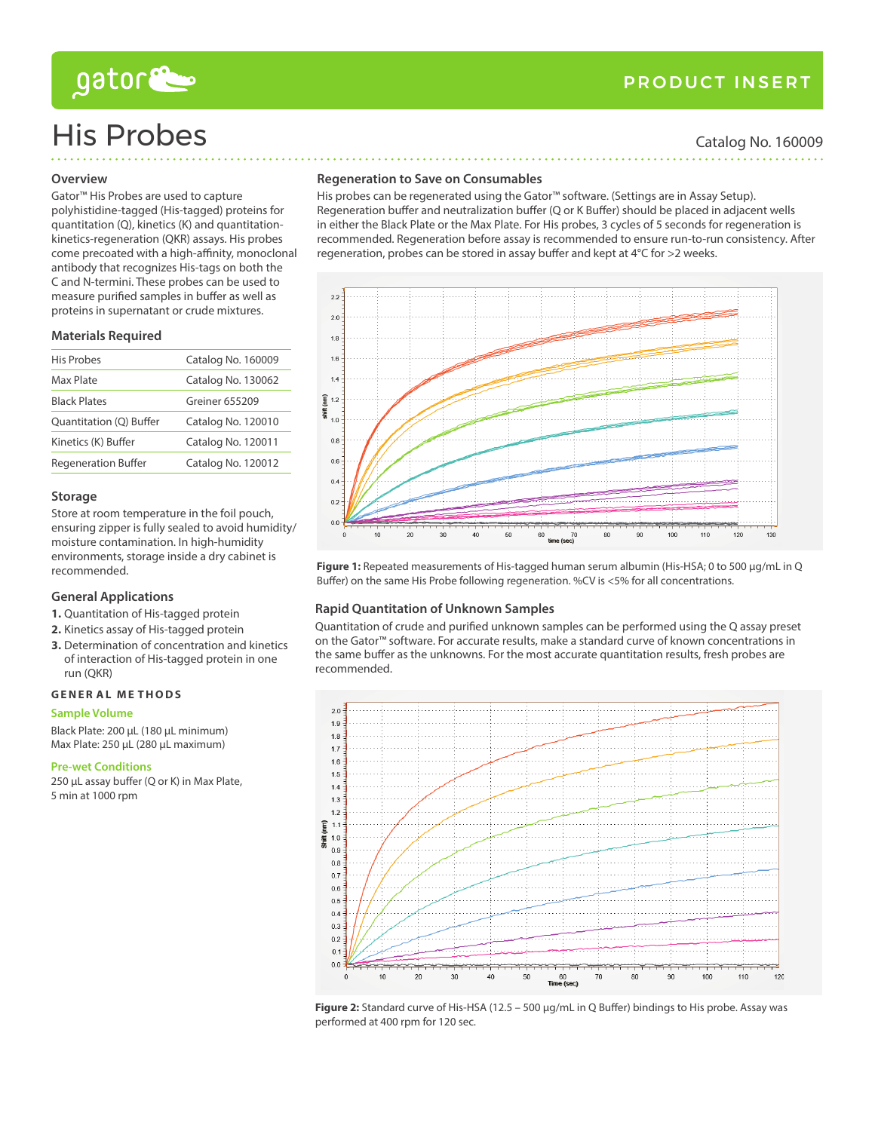# gator

## product insert

# His Probes Catalog No. 160009

#### **Overview**

### Gator™ His Probes are used to capture polyhistidine-tagged (His-tagged) proteins for quantitation (Q), kinetics (K) and quantitationkinetics-regeneration (QKR) assays. His probes come precoated with a high-affinity, monoclonal antibody that recognizes His-tags on both the C and N-termini. These probes can be used to measure purified samples in buffer as well as proteins in supernatant or crude mixtures.

#### **Materials Required**

| <b>His Probes</b>          | Catalog No. 160009 |
|----------------------------|--------------------|
| Max Plate                  | Catalog No. 130062 |
| <b>Black Plates</b>        | Greiner 655209     |
| Quantitation (Q) Buffer    | Catalog No. 120010 |
| Kinetics (K) Buffer        | Catalog No. 120011 |
| <b>Regeneration Buffer</b> | Catalog No. 120012 |

#### **Storage**

Store at room temperature in the foil pouch, ensuring zipper is fully sealed to avoid humidity/ moisture contamination. In high-humidity environments, storage inside a dry cabinet is recommended.

### **General Applications**

- **1.** Quantitation of His-tagged protein
- **2.** Kinetics assay of His-tagged protein
- **3.** Determination of concentration and kinetics of interaction of His-tagged protein in one run (QKR)

#### **Gene r al M e thods**

#### **Sample Volume**

Black Plate: 200 µL (180 µL minimum) Max Plate: 250 µL (280 µL maximum)

#### **Pre-wet Conditions**

250 µL assay buffer (Q or K) in Max Plate, 5 min at 1000 rpm

#### **Regeneration to Save on Consumables**

His probes can be regenerated using the Gator™ software. (Settings are in Assay Setup). Regeneration buffer and neutralization buffer (Q or K Buffer) should be placed in adjacent wells in either the Black Plate or the Max Plate. For His probes, 3 cycles of 5 seconds for regeneration is recommended. Regeneration before assay is recommended to ensure run-to-run consistency. After regeneration, probes can be stored in assay buffer and kept at 4°C for >2 weeks.



Figure 1: Repeated measurements of His-tagged human serum albumin (His-HSA; 0 to 500 µg/mL in Q Buffer) on the same His Probe following regeneration. %CV is <5% for all concentrations.

### **Rapid Quantitation of Unknown Samples**

Quantitation of crude and purified unknown samples can be performed using the Q assay preset on the Gator™ software. For accurate results, make a standard curve of known concentrations in the same buffer as the unknowns. For the most accurate quantitation results, fresh probes are recommended.



Figure 2: Standard curve of His-HSA (12.5 - 500 µg/mL in Q Buffer) bindings to His probe. Assay was performed at 400 rpm for 120 sec.